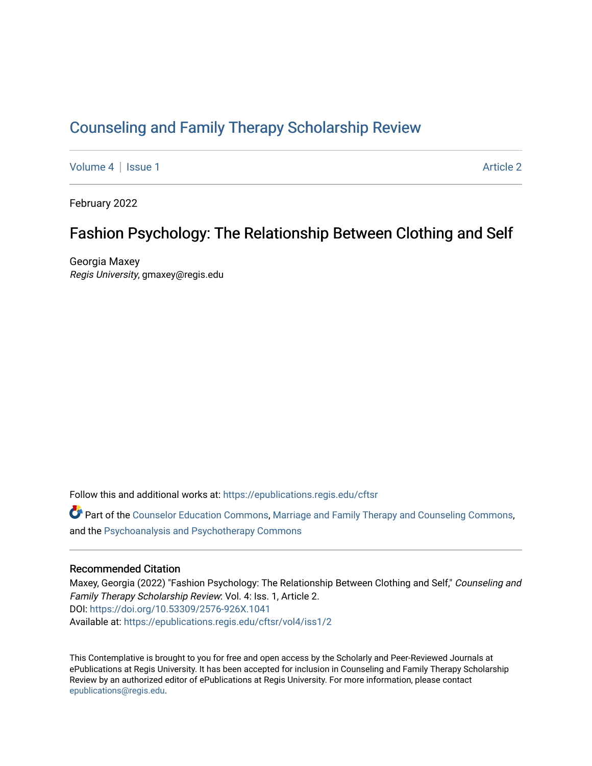# [Counseling and Family Therapy Scholarship Review](https://epublications.regis.edu/cftsr)

[Volume 4](https://epublications.regis.edu/cftsr/vol4) | [Issue 1](https://epublications.regis.edu/cftsr/vol4/iss1) [Article 2](https://epublications.regis.edu/cftsr/vol4/iss1/2) | Article 2 | Article 2 | Article 2 | Article 2 | Article 2 | Article 2 | Article 2

February 2022

# Fashion Psychology: The Relationship Between Clothing and Self

Georgia Maxey Regis University, gmaxey@regis.edu

Follow this and additional works at: [https://epublications.regis.edu/cftsr](https://epublications.regis.edu/cftsr?utm_source=epublications.regis.edu%2Fcftsr%2Fvol4%2Fiss1%2F2&utm_medium=PDF&utm_campaign=PDFCoverPages) 

Part of the [Counselor Education Commons,](http://network.bepress.com/hgg/discipline/1278?utm_source=epublications.regis.edu%2Fcftsr%2Fvol4%2Fiss1%2F2&utm_medium=PDF&utm_campaign=PDFCoverPages) [Marriage and Family Therapy and Counseling Commons,](http://network.bepress.com/hgg/discipline/715?utm_source=epublications.regis.edu%2Fcftsr%2Fvol4%2Fiss1%2F2&utm_medium=PDF&utm_campaign=PDFCoverPages) and the [Psychoanalysis and Psychotherapy Commons](http://network.bepress.com/hgg/discipline/716?utm_source=epublications.regis.edu%2Fcftsr%2Fvol4%2Fiss1%2F2&utm_medium=PDF&utm_campaign=PDFCoverPages)

#### Recommended Citation

Maxey, Georgia (2022) "Fashion Psychology: The Relationship Between Clothing and Self," Counseling and Family Therapy Scholarship Review: Vol. 4: Iss. 1, Article 2. DOI:<https://doi.org/10.53309/2576-926X.1041> Available at: [https://epublications.regis.edu/cftsr/vol4/iss1/2](https://epublications.regis.edu/cftsr/vol4/iss1/2?utm_source=epublications.regis.edu%2Fcftsr%2Fvol4%2Fiss1%2F2&utm_medium=PDF&utm_campaign=PDFCoverPages)

This Contemplative is brought to you for free and open access by the Scholarly and Peer-Reviewed Journals at ePublications at Regis University. It has been accepted for inclusion in Counseling and Family Therapy Scholarship Review by an authorized editor of ePublications at Regis University. For more information, please contact [epublications@regis.edu.](mailto:epublications@regis.edu)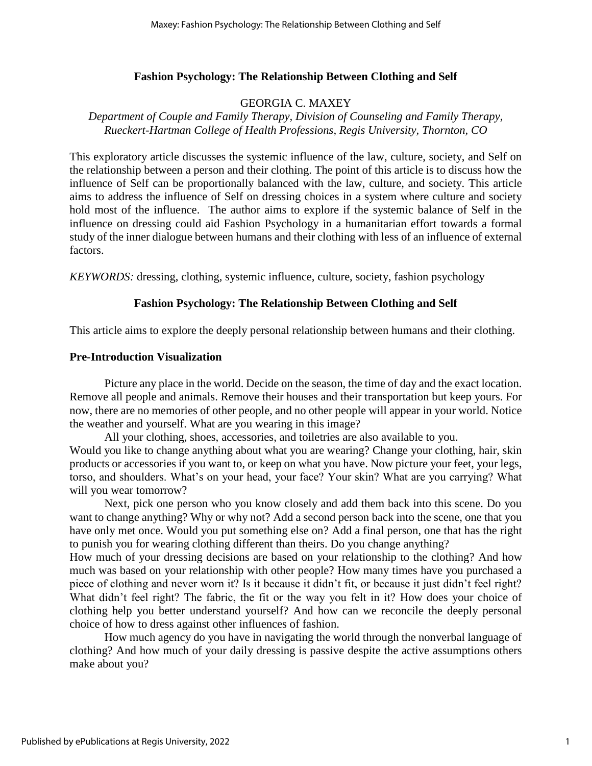## **Fashion Psychology: The Relationship Between Clothing and Self**

# GEORGIA C. MAXEY

*Department of Couple and Family Therapy, Division of Counseling and Family Therapy, Rueckert-Hartman College of Health Professions, Regis University, Thornton, CO*

This exploratory article discusses the systemic influence of the law, culture, society, and Self on the relationship between a person and their clothing. The point of this article is to discuss how the influence of Self can be proportionally balanced with the law, culture, and society. This article aims to address the influence of Self on dressing choices in a system where culture and society hold most of the influence. The author aims to explore if the systemic balance of Self in the influence on dressing could aid Fashion Psychology in a humanitarian effort towards a formal study of the inner dialogue between humans and their clothing with less of an influence of external factors.

*KEYWORDS:* dressing, clothing, systemic influence, culture, society, fashion psychology

## **Fashion Psychology: The Relationship Between Clothing and Self**

This article aims to explore the deeply personal relationship between humans and their clothing.

## **Pre-Introduction Visualization**

Picture any place in the world. Decide on the season, the time of day and the exact location. Remove all people and animals. Remove their houses and their transportation but keep yours. For now, there are no memories of other people, and no other people will appear in your world. Notice the weather and yourself. What are you wearing in this image?

All your clothing, shoes, accessories, and toiletries are also available to you. Would you like to change anything about what you are wearing? Change your clothing, hair, skin products or accessories if you want to, or keep on what you have. Now picture your feet, your legs, torso, and shoulders. What's on your head, your face? Your skin? What are you carrying? What will you wear tomorrow?

Next, pick one person who you know closely and add them back into this scene. Do you want to change anything? Why or why not? Add a second person back into the scene, one that you have only met once. Would you put something else on? Add a final person, one that has the right to punish you for wearing clothing different than theirs. Do you change anything?

How much of your dressing decisions are based on your relationship to the clothing? And how much was based on your relationship with other people? How many times have you purchased a piece of clothing and never worn it? Is it because it didn't fit, or because it just didn't feel right? What didn't feel right? The fabric, the fit or the way you felt in it? How does your choice of clothing help you better understand yourself? And how can we reconcile the deeply personal choice of how to dress against other influences of fashion.

How much agency do you have in navigating the world through the nonverbal language of clothing? And how much of your daily dressing is passive despite the active assumptions others make about you?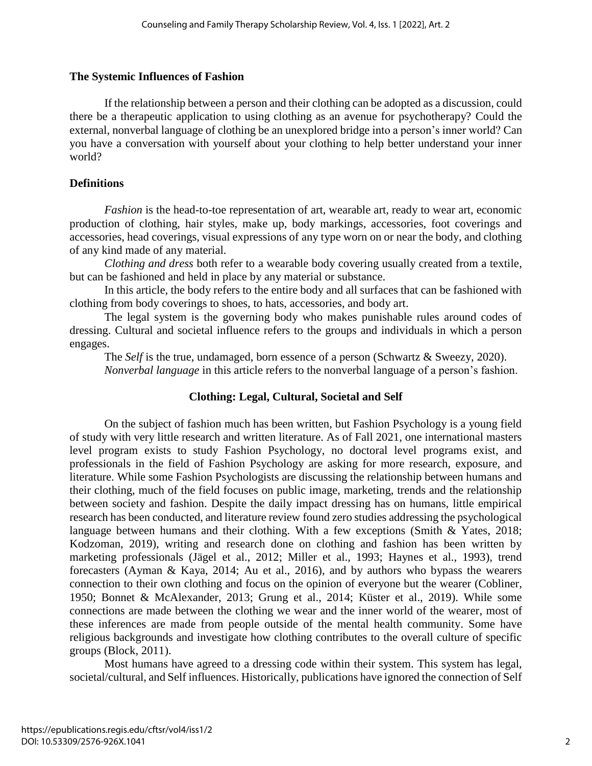## **The Systemic Influences of Fashion**

If the relationship between a person and their clothing can be adopted as a discussion, could there be a therapeutic application to using clothing as an avenue for psychotherapy? Could the external, nonverbal language of clothing be an unexplored bridge into a person's inner world? Can you have a conversation with yourself about your clothing to help better understand your inner world?

## **Definitions**

*Fashion* is the head-to-toe representation of art, wearable art, ready to wear art, economic production of clothing, hair styles, make up, body markings, accessories, foot coverings and accessories, head coverings, visual expressions of any type worn on or near the body, and clothing of any kind made of any material.

*Clothing and dress* both refer to a wearable body covering usually created from a textile, but can be fashioned and held in place by any material or substance.

In this article, the body refers to the entire body and all surfaces that can be fashioned with clothing from body coverings to shoes, to hats, accessories, and body art.

The legal system is the governing body who makes punishable rules around codes of dressing. Cultural and societal influence refers to the groups and individuals in which a person engages.

The *Self* is the true, undamaged, born essence of a person (Schwartz & Sweezy, 2020). *Nonverbal language* in this article refers to the nonverbal language of a person's fashion.

# **Clothing: Legal, Cultural, Societal and Self**

On the subject of fashion much has been written, but Fashion Psychology is a young field of study with very little research and written literature. As of Fall 2021, one international masters level program exists to study Fashion Psychology, no doctoral level programs exist, and professionals in the field of Fashion Psychology are asking for more research, exposure, and literature. While some Fashion Psychologists are discussing the relationship between humans and their clothing, much of the field focuses on public image, marketing, trends and the relationship between society and fashion. Despite the daily impact dressing has on humans, little empirical research has been conducted, and literature review found zero studies addressing the psychological language between humans and their clothing. With a few exceptions (Smith & Yates, 2018; Kodzoman, 2019), writing and research done on clothing and fashion has been written by marketing professionals (Jägel et al., 2012; Miller et al., 1993; Haynes et al., 1993), trend forecasters (Ayman & Kaya, 2014; Au et al., 2016), and by authors who bypass the wearers connection to their own clothing and focus on the opinion of everyone but the wearer (Cobliner, 1950; Bonnet & McAlexander, 2013; Grung et al., 2014; Küster et al., 2019). While some connections are made between the clothing we wear and the inner world of the wearer, most of these inferences are made from people outside of the mental health community. Some have religious backgrounds and investigate how clothing contributes to the overall culture of specific groups (Block, 2011).

Most humans have agreed to a dressing code within their system. This system has legal, societal/cultural, and Self influences. Historically, publications have ignored the connection of Self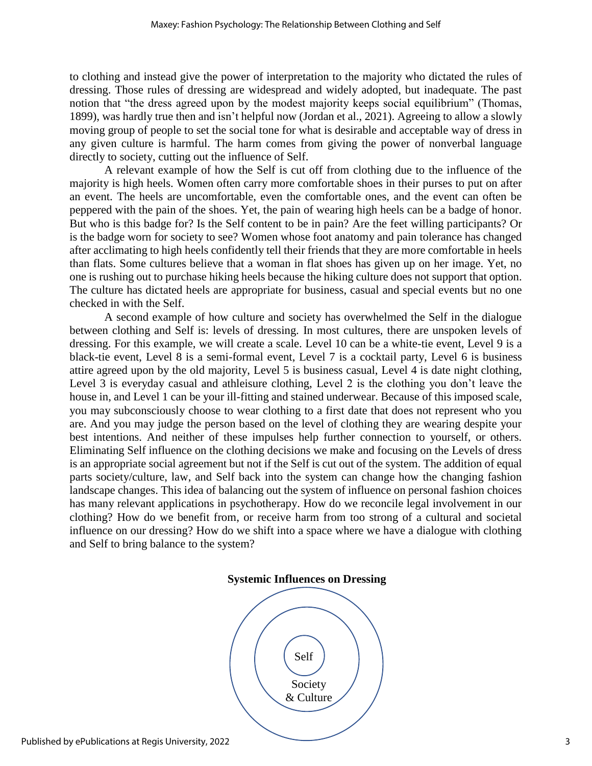to clothing and instead give the power of interpretation to the majority who dictated the rules of dressing. Those rules of dressing are widespread and widely adopted, but inadequate. The past notion that "the dress agreed upon by the modest majority keeps social equilibrium" (Thomas, 1899), was hardly true then and isn't helpful now (Jordan et al., 2021). Agreeing to allow a slowly moving group of people to set the social tone for what is desirable and acceptable way of dress in any given culture is harmful. The harm comes from giving the power of nonverbal language directly to society, cutting out the influence of Self.

A relevant example of how the Self is cut off from clothing due to the influence of the majority is high heels. Women often carry more comfortable shoes in their purses to put on after an event. The heels are uncomfortable, even the comfortable ones, and the event can often be peppered with the pain of the shoes. Yet, the pain of wearing high heels can be a badge of honor. But who is this badge for? Is the Self content to be in pain? Are the feet willing participants? Or is the badge worn for society to see? Women whose foot anatomy and pain tolerance has changed after acclimating to high heels confidently tell their friends that they are more comfortable in heels than flats. Some cultures believe that a woman in flat shoes has given up on her image. Yet, no one is rushing out to purchase hiking heels because the hiking culture does not support that option. The culture has dictated heels are appropriate for business, casual and special events but no one checked in with the Self.

A second example of how culture and society has overwhelmed the Self in the dialogue between clothing and Self is: levels of dressing. In most cultures, there are unspoken levels of dressing. For this example, we will create a scale. Level 10 can be a white-tie event, Level 9 is a black-tie event, Level 8 is a semi-formal event, Level 7 is a cocktail party, Level 6 is business attire agreed upon by the old majority, Level 5 is business casual, Level 4 is date night clothing, Level 3 is everyday casual and athleisure clothing, Level 2 is the clothing you don't leave the house in, and Level 1 can be your ill-fitting and stained underwear. Because of this imposed scale, you may subconsciously choose to wear clothing to a first date that does not represent who you are. And you may judge the person based on the level of clothing they are wearing despite your best intentions. And neither of these impulses help further connection to yourself, or others. Eliminating Self influence on the clothing decisions we make and focusing on the Levels of dress is an appropriate social agreement but not if the Self is cut out of the system. The addition of equal parts society/culture, law, and Self back into the system can change how the changing fashion landscape changes. This idea of balancing out the system of influence on personal fashion choices has many relevant applications in psychotherapy. How do we reconcile legal involvement in our clothing? How do we benefit from, or receive harm from too strong of a cultural and societal influence on our dressing? How do we shift into a space where we have a dialogue with clothing and Self to bring balance to the system?



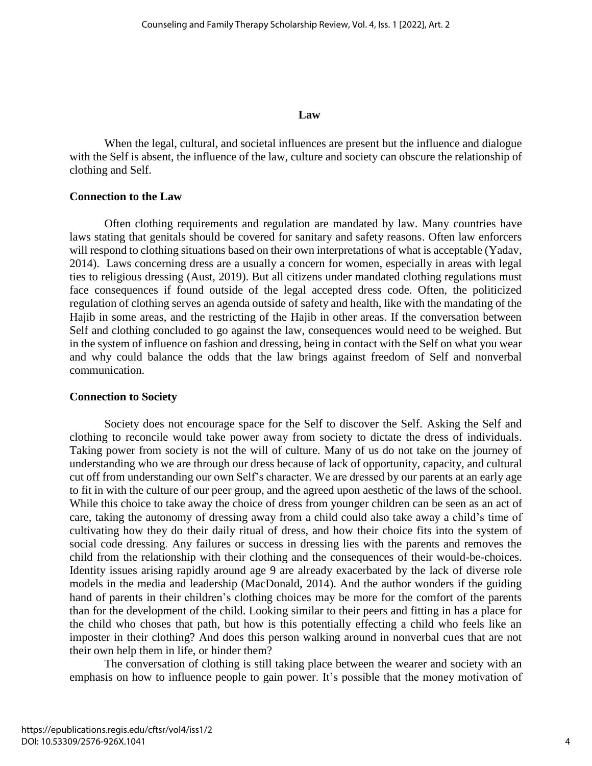#### **Law**

When the legal, cultural, and societal influences are present but the influence and dialogue with the Self is absent, the influence of the law, culture and society can obscure the relationship of clothing and Self.

#### **Connection to the Law**

Often clothing requirements and regulation are mandated by law. Many countries have laws stating that genitals should be covered for sanitary and safety reasons. Often law enforcers will respond to clothing situations based on their own interpretations of what is acceptable (Yadav, 2014). Laws concerning dress are a usually a concern for women, especially in areas with legal ties to religious dressing (Aust, 2019). But all citizens under mandated clothing regulations must face consequences if found outside of the legal accepted dress code. Often, the politicized regulation of clothing serves an agenda outside of safety and health, like with the mandating of the Hajib in some areas, and the restricting of the Hajib in other areas. If the conversation between Self and clothing concluded to go against the law, consequences would need to be weighed. But in the system of influence on fashion and dressing, being in contact with the Self on what you wear and why could balance the odds that the law brings against freedom of Self and nonverbal communication.

## **Connection to Society**

Society does not encourage space for the Self to discover the Self. Asking the Self and clothing to reconcile would take power away from society to dictate the dress of individuals. Taking power from society is not the will of culture. Many of us do not take on the journey of understanding who we are through our dress because of lack of opportunity, capacity, and cultural cut off from understanding our own Self's character. We are dressed by our parents at an early age to fit in with the culture of our peer group, and the agreed upon aesthetic of the laws of the school. While this choice to take away the choice of dress from younger children can be seen as an act of care, taking the autonomy of dressing away from a child could also take away a child's time of cultivating how they do their daily ritual of dress, and how their choice fits into the system of social code dressing. Any failures or success in dressing lies with the parents and removes the child from the relationship with their clothing and the consequences of their would-be-choices. Identity issues arising rapidly around age 9 are already exacerbated by the lack of diverse role models in the media and leadership (MacDonald, 2014). And the author wonders if the guiding hand of parents in their children's clothing choices may be more for the comfort of the parents than for the development of the child. Looking similar to their peers and fitting in has a place for the child who choses that path, but how is this potentially effecting a child who feels like an imposter in their clothing? And does this person walking around in nonverbal cues that are not their own help them in life, or hinder them?

The conversation of clothing is still taking place between the wearer and society with an emphasis on how to influence people to gain power. It's possible that the money motivation of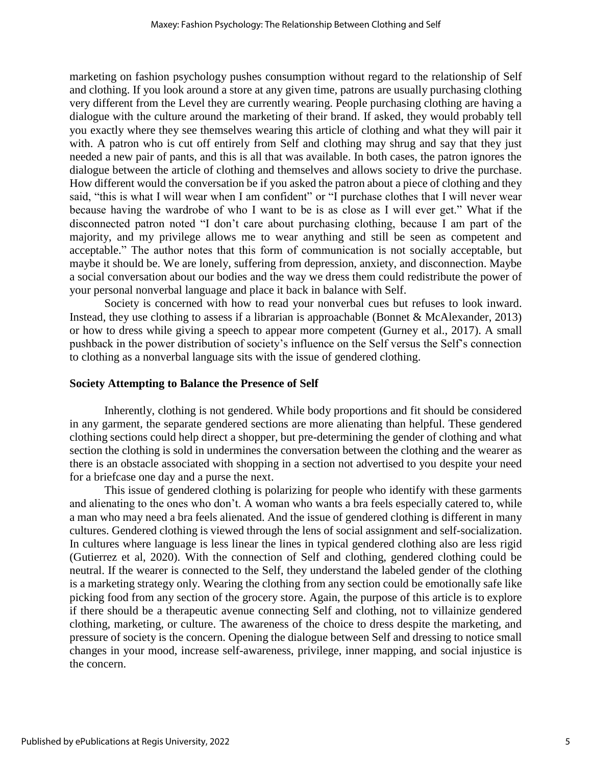marketing on fashion psychology pushes consumption without regard to the relationship of Self and clothing. If you look around a store at any given time, patrons are usually purchasing clothing very different from the Level they are currently wearing. People purchasing clothing are having a dialogue with the culture around the marketing of their brand. If asked, they would probably tell you exactly where they see themselves wearing this article of clothing and what they will pair it with. A patron who is cut off entirely from Self and clothing may shrug and say that they just needed a new pair of pants, and this is all that was available. In both cases, the patron ignores the dialogue between the article of clothing and themselves and allows society to drive the purchase. How different would the conversation be if you asked the patron about a piece of clothing and they said, "this is what I will wear when I am confident" or "I purchase clothes that I will never wear because having the wardrobe of who I want to be is as close as I will ever get." What if the disconnected patron noted "I don't care about purchasing clothing, because I am part of the majority, and my privilege allows me to wear anything and still be seen as competent and acceptable." The author notes that this form of communication is not socially acceptable, but maybe it should be. We are lonely, suffering from depression, anxiety, and disconnection. Maybe a social conversation about our bodies and the way we dress them could redistribute the power of your personal nonverbal language and place it back in balance with Self.

Society is concerned with how to read your nonverbal cues but refuses to look inward. Instead, they use clothing to assess if a librarian is approachable (Bonnet & McAlexander, 2013) or how to dress while giving a speech to appear more competent (Gurney et al., 2017). A small pushback in the power distribution of society's influence on the Self versus the Self's connection to clothing as a nonverbal language sits with the issue of gendered clothing.

## **Society Attempting to Balance the Presence of Self**

Inherently, clothing is not gendered. While body proportions and fit should be considered in any garment, the separate gendered sections are more alienating than helpful. These gendered clothing sections could help direct a shopper, but pre-determining the gender of clothing and what section the clothing is sold in undermines the conversation between the clothing and the wearer as there is an obstacle associated with shopping in a section not advertised to you despite your need for a briefcase one day and a purse the next.

This issue of gendered clothing is polarizing for people who identify with these garments and alienating to the ones who don't. A woman who wants a bra feels especially catered to, while a man who may need a bra feels alienated. And the issue of gendered clothing is different in many cultures. Gendered clothing is viewed through the lens of social assignment and self-socialization. In cultures where language is less linear the lines in typical gendered clothing also are less rigid (Gutierrez et al, 2020). With the connection of Self and clothing, gendered clothing could be neutral. If the wearer is connected to the Self, they understand the labeled gender of the clothing is a marketing strategy only. Wearing the clothing from any section could be emotionally safe like picking food from any section of the grocery store. Again, the purpose of this article is to explore if there should be a therapeutic avenue connecting Self and clothing, not to villainize gendered clothing, marketing, or culture. The awareness of the choice to dress despite the marketing, and pressure of society is the concern. Opening the dialogue between Self and dressing to notice small changes in your mood, increase self-awareness, privilege, inner mapping, and social injustice is the concern.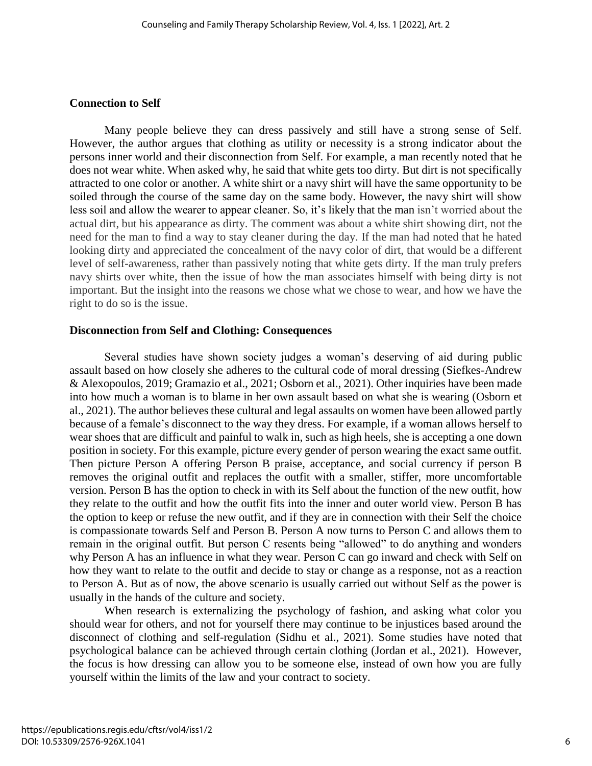#### **Connection to Self**

Many people believe they can dress passively and still have a strong sense of Self. However, the author argues that clothing as utility or necessity is a strong indicator about the persons inner world and their disconnection from Self. For example, a man recently noted that he does not wear white. When asked why, he said that white gets too dirty. But dirt is not specifically attracted to one color or another. A white shirt or a navy shirt will have the same opportunity to be soiled through the course of the same day on the same body. However, the navy shirt will show less soil and allow the wearer to appear cleaner. So, it's likely that the man isn't worried about the actual dirt, but his appearance as dirty. The comment was about a white shirt showing dirt, not the need for the man to find a way to stay cleaner during the day. If the man had noted that he hated looking dirty and appreciated the concealment of the navy color of dirt, that would be a different level of self-awareness, rather than passively noting that white gets dirty. If the man truly prefers navy shirts over white, then the issue of how the man associates himself with being dirty is not important. But the insight into the reasons we chose what we chose to wear, and how we have the right to do so is the issue.

#### **Disconnection from Self and Clothing: Consequences**

Several studies have shown society judges a woman's deserving of aid during public assault based on how closely she adheres to the cultural code of moral dressing (Siefkes-Andrew & Alexopoulos, 2019; Gramazio et al., 2021; Osborn et al., 2021). Other inquiries have been made into how much a woman is to blame in her own assault based on what she is wearing (Osborn et al., 2021). The author believes these cultural and legal assaults on women have been allowed partly because of a female's disconnect to the way they dress. For example, if a woman allows herself to wear shoes that are difficult and painful to walk in, such as high heels, she is accepting a one down position in society. For this example, picture every gender of person wearing the exact same outfit. Then picture Person A offering Person B praise, acceptance, and social currency if person B removes the original outfit and replaces the outfit with a smaller, stiffer, more uncomfortable version. Person B has the option to check in with its Self about the function of the new outfit, how they relate to the outfit and how the outfit fits into the inner and outer world view. Person B has the option to keep or refuse the new outfit, and if they are in connection with their Self the choice is compassionate towards Self and Person B. Person A now turns to Person C and allows them to remain in the original outfit. But person C resents being "allowed" to do anything and wonders why Person A has an influence in what they wear. Person C can go inward and check with Self on how they want to relate to the outfit and decide to stay or change as a response, not as a reaction to Person A. But as of now, the above scenario is usually carried out without Self as the power is usually in the hands of the culture and society.

When research is externalizing the psychology of fashion, and asking what color you should wear for others, and not for yourself there may continue to be injustices based around the disconnect of clothing and self-regulation (Sidhu et al., 2021). Some studies have noted that psychological balance can be achieved through certain clothing (Jordan et al., 2021). However, the focus is how dressing can allow you to be someone else, instead of own how you are fully yourself within the limits of the law and your contract to society.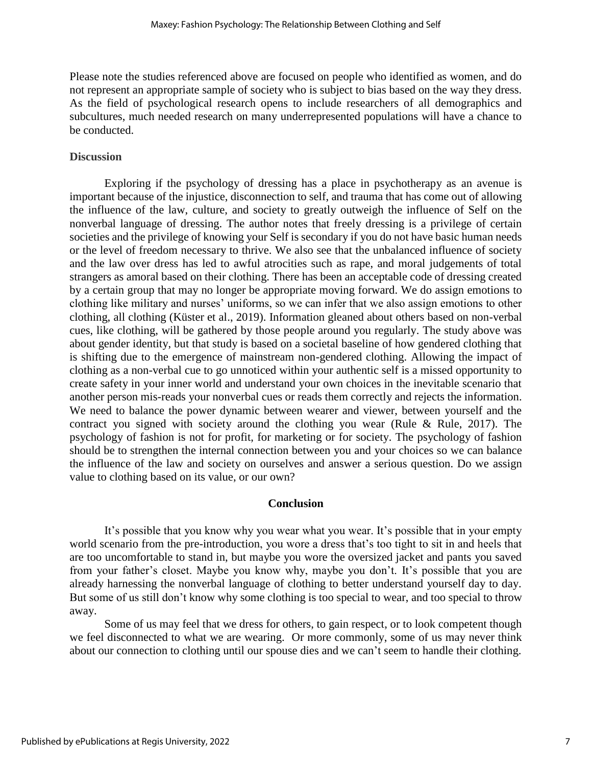Please note the studies referenced above are focused on people who identified as women, and do not represent an appropriate sample of society who is subject to bias based on the way they dress. As the field of psychological research opens to include researchers of all demographics and subcultures, much needed research on many underrepresented populations will have a chance to be conducted.

#### **Discussion**

Exploring if the psychology of dressing has a place in psychotherapy as an avenue is important because of the injustice, disconnection to self, and trauma that has come out of allowing the influence of the law, culture, and society to greatly outweigh the influence of Self on the nonverbal language of dressing. The author notes that freely dressing is a privilege of certain societies and the privilege of knowing your Self is secondary if you do not have basic human needs or the level of freedom necessary to thrive. We also see that the unbalanced influence of society and the law over dress has led to awful atrocities such as rape, and moral judgements of total strangers as amoral based on their clothing. There has been an acceptable code of dressing created by a certain group that may no longer be appropriate moving forward. We do assign emotions to clothing like military and nurses' uniforms, so we can infer that we also assign emotions to other clothing, all clothing (Küster et al., 2019). Information gleaned about others based on non-verbal cues, like clothing, will be gathered by those people around you regularly. The study above was about gender identity, but that study is based on a societal baseline of how gendered clothing that is shifting due to the emergence of mainstream non-gendered clothing. Allowing the impact of clothing as a non-verbal cue to go unnoticed within your authentic self is a missed opportunity to create safety in your inner world and understand your own choices in the inevitable scenario that another person mis-reads your nonverbal cues or reads them correctly and rejects the information. We need to balance the power dynamic between wearer and viewer, between yourself and the contract you signed with society around the clothing you wear (Rule & Rule, 2017). The psychology of fashion is not for profit, for marketing or for society. The psychology of fashion should be to strengthen the internal connection between you and your choices so we can balance the influence of the law and society on ourselves and answer a serious question. Do we assign value to clothing based on its value, or our own?

#### **Conclusion**

It's possible that you know why you wear what you wear. It's possible that in your empty world scenario from the pre-introduction, you wore a dress that's too tight to sit in and heels that are too uncomfortable to stand in, but maybe you wore the oversized jacket and pants you saved from your father's closet. Maybe you know why, maybe you don't. It's possible that you are already harnessing the nonverbal language of clothing to better understand yourself day to day. But some of us still don't know why some clothing is too special to wear, and too special to throw away.

Some of us may feel that we dress for others, to gain respect, or to look competent though we feel disconnected to what we are wearing. Or more commonly, some of us may never think about our connection to clothing until our spouse dies and we can't seem to handle their clothing.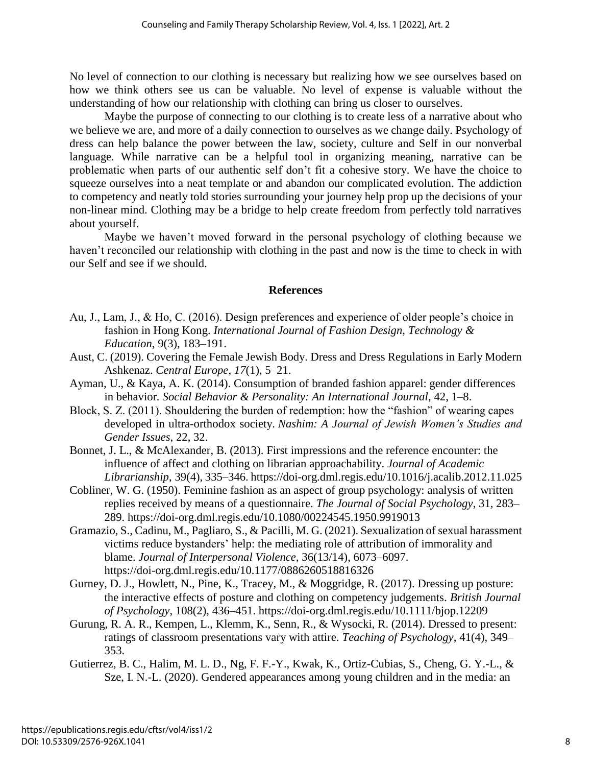No level of connection to our clothing is necessary but realizing how we see ourselves based on how we think others see us can be valuable. No level of expense is valuable without the understanding of how our relationship with clothing can bring us closer to ourselves.

Maybe the purpose of connecting to our clothing is to create less of a narrative about who we believe we are, and more of a daily connection to ourselves as we change daily. Psychology of dress can help balance the power between the law, society, culture and Self in our nonverbal language. While narrative can be a helpful tool in organizing meaning, narrative can be problematic when parts of our authentic self don't fit a cohesive story. We have the choice to squeeze ourselves into a neat template or and abandon our complicated evolution. The addiction to competency and neatly told stories surrounding your journey help prop up the decisions of your non-linear mind. Clothing may be a bridge to help create freedom from perfectly told narratives about yourself.

Maybe we haven't moved forward in the personal psychology of clothing because we haven't reconciled our relationship with clothing in the past and now is the time to check in with our Self and see if we should.

## **References**

- Au, J., Lam, J., & Ho, C. (2016). Design preferences and experience of older people's choice in fashion in Hong Kong. *International Journal of Fashion Design, Technology & Education*, 9(3), 183–191.
- Aust, C. (2019). Covering the Female Jewish Body. Dress and Dress Regulations in Early Modern Ashkenaz. *Central Europe*, *17*(1), 5–21.
- Ayman, U., & Kaya, A. K. (2014). Consumption of branded fashion apparel: gender differences in behavior*. Social Behavior & Personality: An International Journal*, 42, 1–8.
- Block, S. Z. (2011). Shouldering the burden of redemption: how the "fashion" of wearing capes developed in ultra-orthodox society. *Nashim: A Journal of Jewish Women's Studies and Gender Issues*, 22, 32.
- Bonnet, J. L., & McAlexander, B. (2013). First impressions and the reference encounter: the influence of affect and clothing on librarian approachability. *Journal of Academic Librarianship*, 39(4), 335–346. https://doi-org.dml.regis.edu/10.1016/j.acalib.2012.11.025
- Cobliner, W. G. (1950). Feminine fashion as an aspect of group psychology: analysis of written replies received by means of a questionnaire. *The Journal of Social Psychology*, 31, 283– 289. https://doi-org.dml.regis.edu/10.1080/00224545.1950.9919013
- Gramazio, S., Cadinu, M., Pagliaro, S., & Pacilli, M. G. (2021). Sexualization of sexual harassment victims reduce bystanders' help: the mediating role of attribution of immorality and blame. *Journal of Interpersonal Violence*, 36(13/14), 6073–6097. [https://doi-o](https://doi-/)rg.dml.regis.edu/10.1177/0886260518816326
- Gurney, D. J., Howlett, N., Pine, K., Tracey, M., & Moggridge, R. (2017). Dressing up posture: the interactive effects of posture and clothing on competency judgements. *British Journal of Psychology*, 108(2), 436–451. https://doi-org.dml.regis.edu/10.1111/bjop.12209
- Gurung, R. A. R., Kempen, L., Klemm, K., Senn, R., & Wysocki, R. (2014). Dressed to present: ratings of classroom presentations vary with attire. *Teaching of Psychology*, 41(4), 349– 353.
- Gutierrez, B. C., Halim, M. L. D., Ng, F. F.-Y., Kwak, K., Ortiz-Cubias, S., Cheng, G. Y.-L., & Sze, I. N.-L. (2020). Gendered appearances among young children and in the media: an